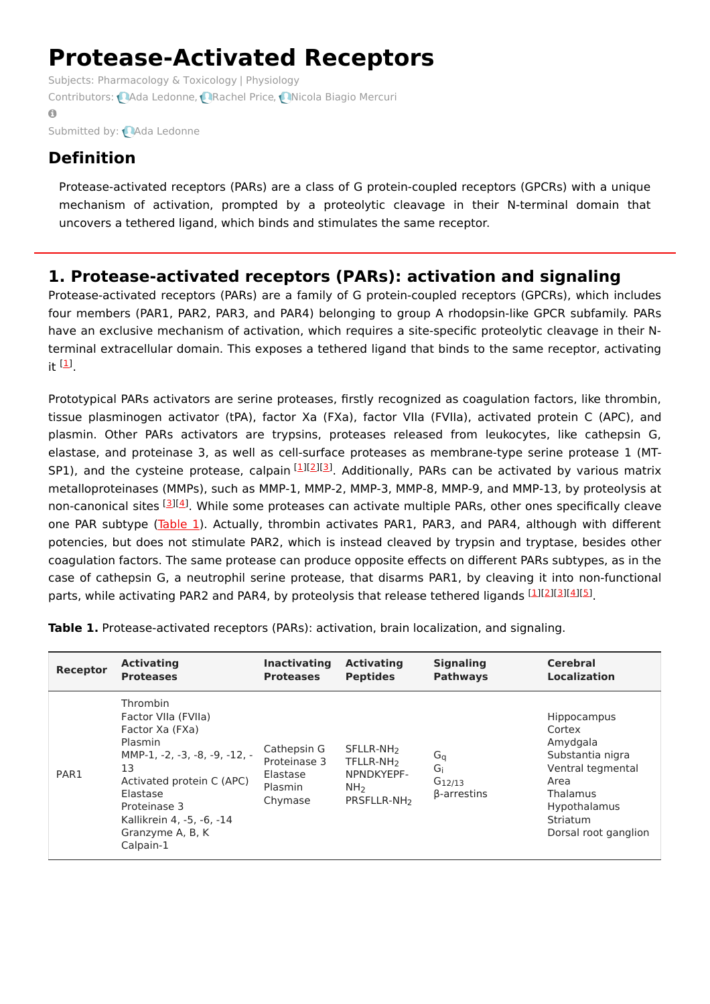# **Protease-Activated Receptors**

Subjects: [Pharmacology](https://encyclopedia.pub/item/subject/75) & Toxicology | [Physiology](https://encyclopedia.pub/item/subject/9) Contributors: **QAda [Ledonne](https://sciprofiles.com/profile/913160), Q[Rachel](https://sciprofiles.com/profile/1431440) Price, QNicola Biagio [Mercuri](https://sciprofiles.com/profile/1137126)**  $\bullet$ 

Submitted by: Ada [Ledonne](https://sciprofiles.com/profile/913160)

## **Definition**

Protease-activated receptors (PARs) are a class of G protein-coupled receptors (GPCRs) with a unique mechanism of activation, prompted by a proteolytic cleavage in their N-terminal domain that uncovers a tethered ligand, which binds and stimulates the same receptor.

### **1. Protease-activated receptors (PARs): activation and signaling**

Protease-activated receptors (PARs) are a family of G protein-coupled receptors (GPCRs), which includes four members (PAR1, PAR2, PAR3, and PAR4) belonging to group A rhodopsin-like GPCR subfamily. PARs have an exclusive mechanism of activation, which requires a site-specific proteolytic cleavage in their Nterminal extracellular domain. This exposes a tethered ligand that binds to the same receptor, activating it  $\mathbf{1}$ .

Prototypical PARs activators are serine proteases, firstly recognized as coagulation factors, like thrombin, tissue plasminogen activator (tPA), factor Xa (FXa), factor VIIa (FVIIa), activated protein C (APC), and plasmin. Other PARs activators are trypsins, proteases released from leukocytes, like cathepsin G, elastase, and proteinase 3, as well as cell-surface proteases as membrane-type serine protease 1 (MT-SP1), and the cysteine protease, calpain [\[1](#page-3-0)][[2](#page-3-1)][[3](#page-3-2)]. Additionally, PARs can be activated by various matrix metalloproteinases (MMPs), such as MMP-1, MMP-2, MMP-3, MMP-8, MMP-9, and MMP-13, by proteolysis at non-canonical sites [[3](#page-3-2)][\[4](#page-3-3)]. While some proteases can activate multiple PARs, other ones specifically cleave one PAR subtype [\(Table](https://www.mdpi.com/1422-0067/22/2/869/htm#table_body_display_ijms-22-00869-t001) 1). Actually, thrombin activates PAR1, PAR3, and PAR4, although with different potencies, but does not stimulate PAR2, which is instead cleaved by trypsin and tryptase, besides other coagulation factors. The same protease can produce opposite effects on different PARs subtypes, as in the case of cathepsin G, a neutrophil serine protease, that disarms PAR1, by cleaving it into non-functional parts, while activating PAR2 and PAR4, by proteolysis that release tethered ligands [[1](#page-3-0)][\[2](#page-3-1)][\[3](#page-3-2)][[4](#page-3-3)][\[5](#page-3-4)].

| Receptor | <b>Activating</b>                                                                                                                                                                                                           | <b>Inactivating</b>                                           | <b>Activating</b>                                                                                          | <b>Signaling</b>                                 | <b>Cerebral</b>                                                                                                                                                  |
|----------|-----------------------------------------------------------------------------------------------------------------------------------------------------------------------------------------------------------------------------|---------------------------------------------------------------|------------------------------------------------------------------------------------------------------------|--------------------------------------------------|------------------------------------------------------------------------------------------------------------------------------------------------------------------|
|          | <b>Proteases</b>                                                                                                                                                                                                            | <b>Proteases</b>                                              | <b>Peptides</b>                                                                                            | <b>Pathways</b>                                  | <b>Localization</b>                                                                                                                                              |
| PAR1     | Thrombin<br>Factor VIIa (FVIIa)<br>Factor Xa (FXa)<br>Plasmin<br>MMP-1, -2, -3, -8, -9, -12, -<br>13<br>Activated protein C (APC)<br>Elastase<br>Proteinase 3<br>Kallikrein 4, -5, -6, -14<br>Granzyme A, B, K<br>Calpain-1 | Cathepsin G<br>Proteinase 3<br>Elastase<br>Plasmin<br>Chymase | SFLLR-NH <sub>2</sub><br>TFLLR-NH <sub>2</sub><br>NPNDKYEPF-<br>NH <sub>2</sub><br>PRSFLLR-NH <sub>2</sub> | $G_q$<br>Gi<br>$G_{12/13}$<br><b>B-arrestins</b> | <b>Hippocampus</b><br>Cortex<br>Amydgala<br>Substantia nigra<br>Ventral tegmental<br>Area<br>Thalamus<br><b>Hypothalamus</b><br>Striatum<br>Dorsal root ganglion |

**Table 1.** Protease-activated receptors (PARs): activation, brain localization, and signaling.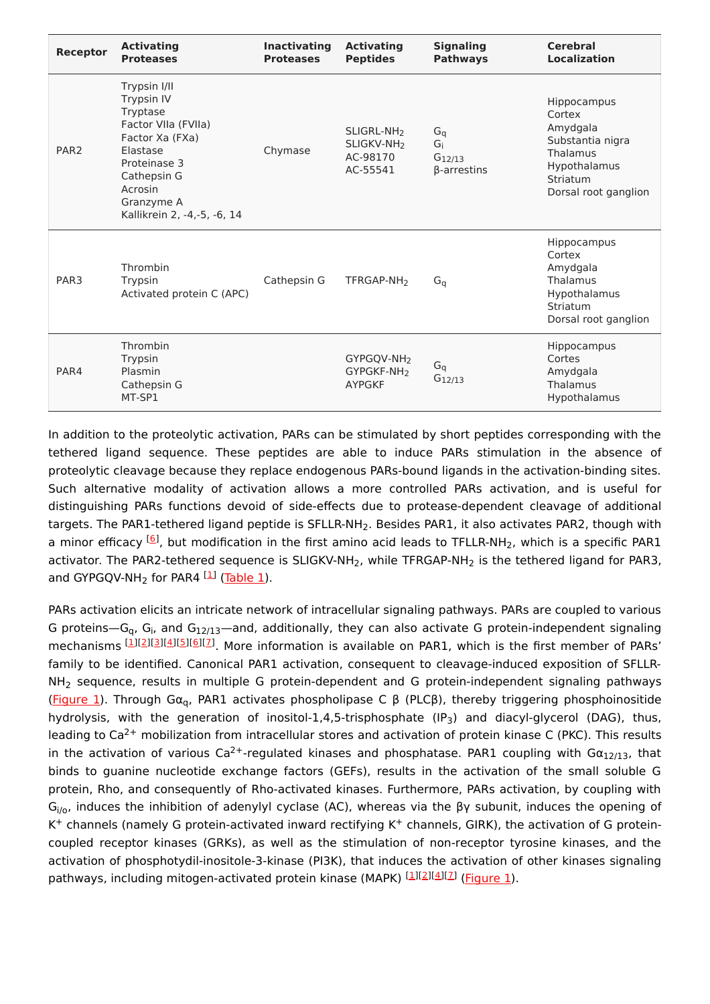| Receptor         | <b>Activating</b><br><b>Proteases</b>                                                                                                                                                      | <b>Inactivating</b><br><b>Proteases</b> | <b>Activating</b><br><b>Peptides</b>                                     | <b>Signaling</b><br><b>Pathways</b>              | <b>Cerebral</b><br><b>Localization</b>                                                                                |
|------------------|--------------------------------------------------------------------------------------------------------------------------------------------------------------------------------------------|-----------------------------------------|--------------------------------------------------------------------------|--------------------------------------------------|-----------------------------------------------------------------------------------------------------------------------|
| PAR <sub>2</sub> | Trypsin I/II<br><b>Trypsin IV</b><br>Tryptase<br>Factor VIIa (FVIIa)<br>Factor Xa (FXa)<br>Elastase<br>Proteinase 3<br>Cathepsin G<br>Acrosin<br>Granzyme A<br>Kallikrein 2, -4,-5, -6, 14 | Chymase                                 | SLIGRL-NH <sub>2</sub><br>SLIGKV-NH <sub>2</sub><br>AC-98170<br>AC-55541 | $G_q$<br>Gi<br>$G_{12/13}$<br>$\beta$ -arrestins | Hippocampus<br>Cortex<br>Amydgala<br>Substantia nigra<br>Thalamus<br>Hypothalamus<br>Striatum<br>Dorsal root ganglion |
| PAR <sub>3</sub> | Thrombin<br>Trypsin<br>Activated protein C (APC)                                                                                                                                           | Cathepsin G                             | TFRGAP-NH <sub>2</sub>                                                   | $G_q$                                            | Hippocampus<br>Cortex<br>Amydgala<br>Thalamus<br>Hypothalamus<br>Striatum<br>Dorsal root ganglion                     |
| PAR4             | Thrombin<br>Trypsin<br>Plasmin<br>Cathepsin G<br>MT-SP1                                                                                                                                    |                                         | GYPGQV-NH <sub>2</sub><br>GYPGKF-NH <sub>2</sub><br><b>AYPGKF</b>        | $G_q$<br>$G_{12/13}$                             | Hippocampus<br>Cortes<br>Amydgala<br>Thalamus<br>Hypothalamus                                                         |

In addition to the proteolytic activation, PARs can be stimulated by short peptides corresponding with the tethered ligand sequence. These peptides are able to induce PARs stimulation in the absence of proteolytic cleavage because they replace endogenous PARs-bound ligands in the activation-binding sites. Such alternative modality of activation allows a more controlled PARs activation, and is useful for distinguishing PARs functions devoid of side-effects due to protease-dependent cleavage of additional targets. The PAR1-tethered ligand peptide is SFLLR-NH<sub>2</sub>. Besides PAR1, it also activates PAR2, though with a minor efficacy <sup>[<u>6</u>]</sup>, but modification in the first amino acid leads to TFLLR-NH<sub>2</sub>, which is a specific PAR1 activator. The PAR2-tethered sequence is SLIGKV-NH<sub>2</sub>, while TFRGAP-NH<sub>2</sub> is the tethered ligand for PAR3, and GYPGQV-NH<sub>2</sub> for PAR4 <sup>[<u>1</u>]</sup> (<u>Table 1</u>).

PARs activation elicits an intricate network of intracellular signaling pathways. PARs are coupled to various G proteins—G<sub>q</sub>, G<sub>i</sub>, and G<sub>12/13</sub>—and, additionally, they can also activate G protein-independent signaling mechanisms [\[1](#page-3-0)][\[2](#page-3-1)][\[3](#page-3-2)][[4](#page-3-3)][[5](#page-3-4)][\[6](#page-4-0)][\[7](#page-4-1)]. More information is available on PAR1, which is the first member of PARs' family to be identified. Canonical PAR1 activation, consequent to cleavage-induced exposition of SFLLR- $NH<sub>2</sub>$  sequence, results in multiple G protein-dependent and G protein-independent signaling pathways [\(Figure](https://www.mdpi.com/1422-0067/22/2/869/htm#fig_body_display_ijms-22-00869-f001) 1). Through Gα<sub>q</sub>, PAR1 activates phospholipase C β (PLCβ), thereby triggering phosphoinositide hydrolysis, with the generation of inositol-1,4,5-trisphosphate (IP<sub>3</sub>) and diacyl-glycerol (DAG), thus, leading to Ca<sup>2+</sup> mobilization from intracellular stores and activation of protein kinase C (PKC). This results in the activation of various Ca<sup>2+</sup>-regulated kinases and phosphatase. PAR1 coupling with G $\alpha_{12/13}$ , that binds to guanine nucleotide exchange factors (GEFs), results in the activation of the small soluble G protein, Rho, and consequently of Rho-activated kinases. Furthermore, PARs activation, by coupling with G<sub>i/o</sub>, induces the inhibition of adenylyl cyclase (AC), whereas via the βγ subunit, induces the opening of  $K^+$  channels (namely G protein-activated inward rectifying  $K^+$  channels, GIRK), the activation of G proteincoupled receptor kinases (GRKs), as well as the stimulation of non-receptor tyrosine kinases, and the activation of phosphotydil-inositole-3-kinase (PI3K), that induces the activation of other kinases signaling pathways, including mitogen-activated protein kinase (MAPK) [1][2][4][7] [\(Figure](https://www.mdpi.com/1422-0067/22/2/869/htm#fig_body_display_ijms-22-00869-f001) [1](#page-3-0)).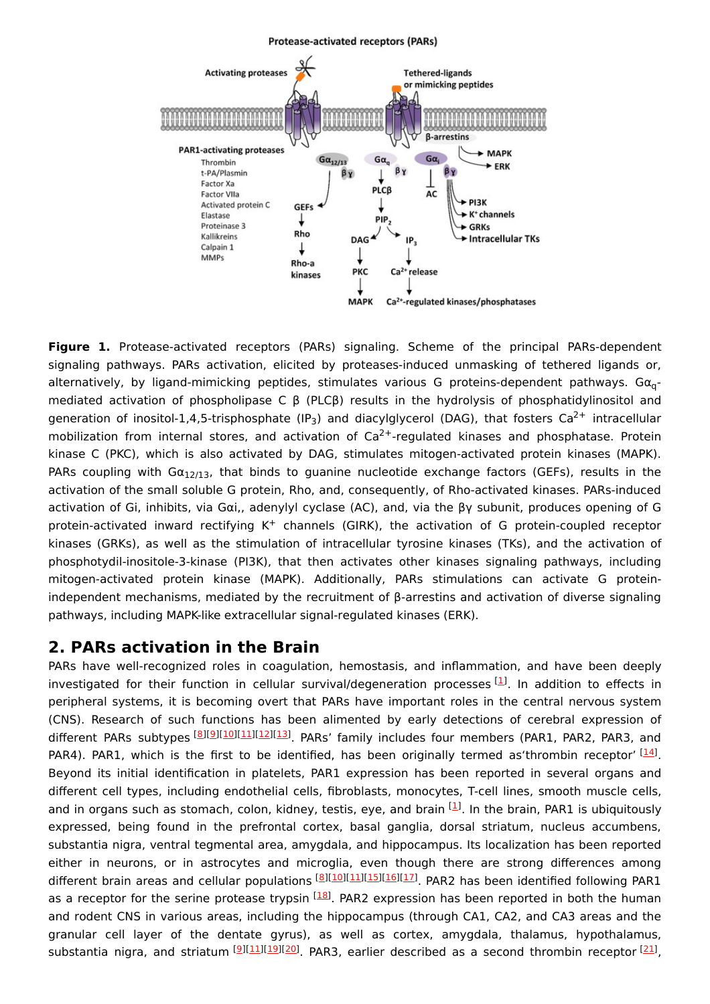#### Protease-activated receptors (PARs)



**Figure 1.** Protease-activated receptors (PARs) signaling. Scheme of the principal PARs-dependent signaling pathways. PARs activation, elicited by proteases-induced unmasking of tethered ligands or, alternatively, by ligand-mimicking peptides, stimulates various G proteins-dependent pathways. Gα<sub>q</sub>mediated activation of phospholipase C β (PLCβ) results in the hydrolysis of phosphatidylinositol and generation of inositol-1,4,5-trisphosphate (IP<sub>3</sub>) and diacylglycerol (DAG), that fosters Ca<sup>2+</sup> intracellular mobilization from internal stores, and activation of  $Ca^{2+}$ -regulated kinases and phosphatase. Protein kinase C (PKC), which is also activated by DAG, stimulates mitogen-activated protein kinases (MAPK). PARs coupling with G $\alpha_{12/13}$ , that binds to guanine nucleotide exchange factors (GEFs), results in the activation of the small soluble G protein, Rho, and, consequently, of Rho-activated kinases. PARs-induced activation of Gi, inhibits, via Gαi,, adenylyl cyclase (AC), and, via the βγ subunit, produces opening of G protein-activated inward rectifying K<sup>+</sup> channels (GIRK), the activation of G protein-coupled receptor kinases (GRKs), as well as the stimulation of intracellular tyrosine kinases (TKs), and the activation of phosphotydil-inositole-3-kinase (PI3K), that then activates other kinases signaling pathways, including mitogen-activated protein kinase (MAPK). Additionally, PARs stimulations can activate G proteinindependent mechanisms, mediated by the recruitment of β-arrestins and activation of diverse signaling pathways, including MAPK-like extracellular signal-regulated kinases (ERK).

### **2. PARs activation in the Brain**

PARs have well-recognized roles in coagulation, hemostasis, and inflammation, and have been deeply investigated for their function in cellular survival/degeneration processes [\[1](#page-3-0)]. In addition to effects in peripheral systems, it is becoming overt that PARs have important roles in the central nervous system (CNS). Research of such functions has been alimented by early detections of cerebral expression of different PARs subtypes [\[8](#page-4-2)][[9](#page-4-3)][[10\]](#page-4-4)[[11\]](#page-4-5)[[12\]](#page-4-6)[[13\]](#page-4-7) PARs' family includes four members (PAR1, PAR2, PAR3, and PAR4). PAR1, which is the first to be identified, has been originally termed as'thrombin receptor'  $[14]$  $[14]$ . Beyond its initial identification in platelets, PAR1 expression has been reported in several organs and different cell types, including endothelial cells, fibroblasts, monocytes, T-cell lines, smooth muscle cells, and in organs such as stomach, colon, kidney, testis, eye, and brain [[1](#page-3-0)]. In the brain, PAR1 is ubiquitously expressed, being found in the prefrontal cortex, basal ganglia, dorsal striatum, nucleus accumbens, substantia nigra, ventral tegmental area, amygdala, and hippocampus. Its localization has been reported either in neurons, or in astrocytes and microglia, even though there are strong differences among different brain areas and cellular populations [\[8](#page-4-2)][[10](#page-4-4)][\[11](#page-4-5)][[15](#page-4-9)][\[16](#page-4-10)][[17](#page-4-11)]. PAR2 has been identified following PAR1 as a receptor for the serine protease trypsin <sup>[[18](#page-4-12)]</sup>. PAR2 expression has been reported in both the human and rodent CNS in various areas, including the hippocampus (through CA1, CA2, and CA3 areas and the granular cell layer of the dentate gyrus), as well as cortex, amygdala, thalamus, hypothalamus, substantia nigra, and striatum [\[9](#page-4-3)][\[11](#page-4-5)][[19](#page-4-13)][\[20](#page-4-14)]. PAR3, earlier described as a second thrombin receptor [\[21](#page-4-15)],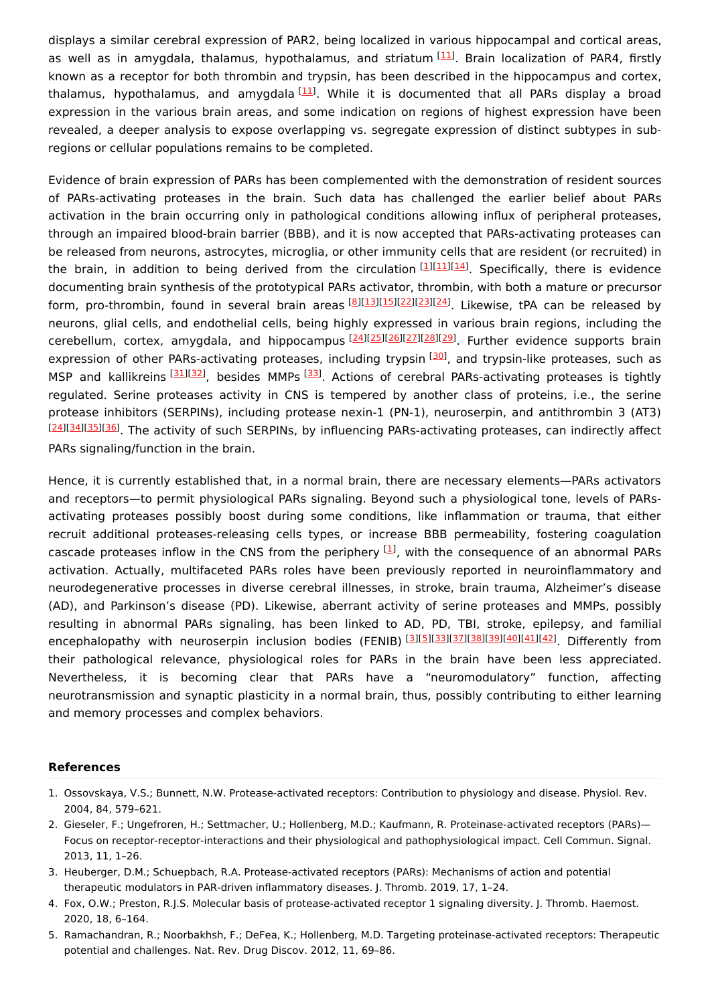displays a similar cerebral expression of PAR2, being localized in various hippocampal and cortical areas, as well as in amygdala, thalamus, hypothalamus, and striatum [\[11](#page-4-5)]. Brain localization of PAR4, firstly known as a receptor for both thrombin and trypsin, has been described in the hippocampus and cortex, thalamus, hypothalamus, and amygdala<sup>[[11\]](#page-4-5)</sup>. While it is documented that all PARs display a broad expression in the various brain areas, and some indication on regions of highest expression have been revealed, a deeper analysis to expose overlapping vs. segregate expression of distinct subtypes in subregions or cellular populations remains to be completed.

Evidence of brain expression of PARs has been complemented with the demonstration of resident sources of PARs-activating proteases in the brain. Such data has challenged the earlier belief about PARs activation in the brain occurring only in pathological conditions allowing influx of peripheral proteases, through an impaired blood-brain barrier (BBB), and it is now accepted that PARs-activating proteases can be released from neurons, astrocytes, microglia, or other immunity cells that are resident (or recruited) in the brain, in addition to being derived from the circulation [[1](#page-3-0)][\[11](#page-4-5)][\[14](#page-4-8)]. Specifically, there is evidence documenting brain synthesis of the prototypical PARs activator, thrombin, with both a mature or precursor form, pro-thrombin, found in several brain areas [[8](#page-4-2)][\[13](#page-4-7)][\[15](#page-4-9)][\[22](#page-4-16)][\[23](#page-4-17)][\[24](#page-4-18)]. Likewise, tPA can be released by neurons, glial cells, and endothelial cells, being highly expressed in various brain regions, including the cerebellum, cortex, amygdala, and hippocampus [[24](#page-4-18)][\[25\]](#page-4-19)[[26](#page-4-20)][\[27\]](#page-4-21)[[28](#page-4-22)][\[29\]](#page-4-23). Further evidence supports brain expression of other PARs-activating proteases, including trypsin <sup>[\[30](#page-4-24)]</sup>, and trypsin-like proteases, such as MSP and kallikreins [[31](#page-4-25)][\[32\]](#page-4-26), besides MMPs [\[33](#page-5-0)]. Actions of cerebral PARs-activating proteases is tightly regulated. Serine proteases activity in CNS is tempered by another class of proteins, i.e., the serine protease inhibitors (SERPINs), including protease nexin-1 (PN-1), neuroserpin, and antithrombin 3 (AT3) [[24](#page-4-18)][\[34\]](#page-5-1)[[35](#page-5-2)][\[36\]](#page-5-3). The activity of such SERPINs, by influencing PARs-activating proteases, can indirectly affect PARs signaling/function in the brain.

Hence, it is currently established that, in a normal brain, there are necessary elements—PARs activators and receptors—to permit physiological PARs signaling. Beyond such a physiological tone, levels of PARsactivating proteases possibly boost during some conditions, like inflammation or trauma, that either recruit additional proteases-releasing cells types, or increase BBB permeability, fostering coagulation cascade proteases inflow in the CNS from the periphery  $[1]$  $[1]$ , with the consequence of an abnormal PARs activation. Actually, multifaceted PARs roles have been previously reported in neuroinflammatory and neurodegenerative processes in diverse cerebral illnesses, in stroke, brain trauma, Alzheimer's disease (AD), and Parkinson's disease (PD). Likewise, aberrant activity of serine proteases and MMPs, possibly resulting in abnormal PARs signaling, has been linked to AD, PD, TBI, stroke, epilepsy, and familial encephalopathy with neuroserpin inclusion bodies (FENIB) [[3](#page-3-2)][\[5](#page-3-4)][\[33\]](#page-5-0)[[37](#page-5-4)][\[38\]](#page-5-5)[[39](#page-5-6)][\[40\]](#page-5-7)[[41](#page-5-8)][\[42\]](#page-5-9). Differently from their pathological relevance, physiological roles for PARs in the brain have been less appreciated. Nevertheless, it is becoming clear that PARs have a "neuromodulatory" function, affecting neurotransmission and synaptic plasticity in a normal brain, thus, possibly contributing to either learning and memory processes and complex behaviors.

#### **References**

- <span id="page-3-0"></span>1. Ossovskaya, V.S.; Bunnett, N.W. Protease-activated receptors: Contribution to physiology and disease. Physiol. Rev. 2004, 84, 579–621.
- <span id="page-3-1"></span>2. Gieseler, F.; Ungefroren, H.; Settmacher, U.; Hollenberg, M.D.; Kaufmann, R. Proteinase-activated receptors (PARs)— Focus on receptor-receptor-interactions and their physiological and pathophysiological impact. Cell Commun. Signal. 2013, 11, 1–26.
- <span id="page-3-2"></span>3. Heuberger, D.M.; Schuepbach, R.A. Protease-activated receptors (PARs): Mechanisms of action and potential therapeutic modulators in PAR-driven inflammatory diseases. J. Thromb. 2019, 17, 1–24.
- <span id="page-3-3"></span>4. Fox, O.W.; Preston, R.J.S. Molecular basis of protease-activated receptor 1 signaling diversity. J. Thromb. Haemost. 2020, 18, 6–164.
- <span id="page-3-4"></span>5. Ramachandran, R.; Noorbakhsh, F.; DeFea, K.; Hollenberg, M.D. Targeting proteinase-activated receptors: Therapeutic potential and challenges. Nat. Rev. Drug Discov. 2012, 11, 69–86.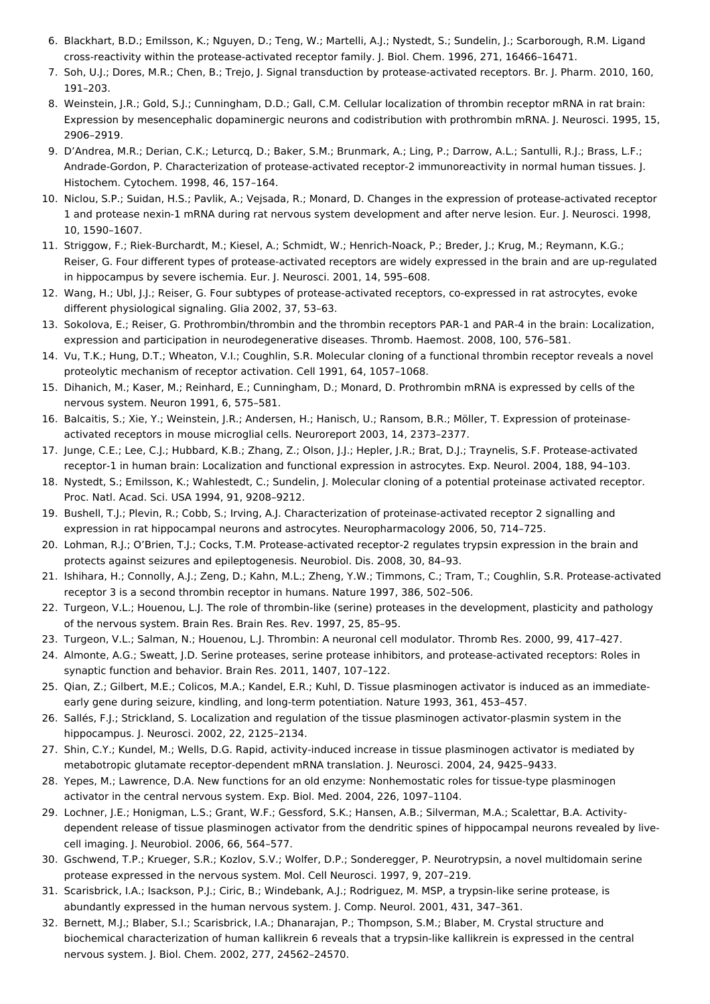- <span id="page-4-0"></span>6. Blackhart, B.D.; Emilsson, K.; Nguyen, D.; Teng, W.; Martelli, A.J.; Nystedt, S.; Sundelin, J.; Scarborough, R.M. Ligand cross-reactivity within the protease-activated receptor family. J. Biol. Chem. 1996, 271, 16466–16471.
- <span id="page-4-1"></span>7. Soh, U.J.; Dores, M.R.; Chen, B.; Trejo, J. Signal transduction by protease-activated receptors. Br. J. Pharm. 2010, 160, 191–203.
- <span id="page-4-2"></span>8. Weinstein, J.R.; Gold, S.J.; Cunningham, D.D.; Gall, C.M. Cellular localization of thrombin receptor mRNA in rat brain: Expression by mesencephalic dopaminergic neurons and codistribution with prothrombin mRNA. J. Neurosci. 1995, 15, 2906–2919.
- <span id="page-4-3"></span>9. D'Andrea, M.R.; Derian, C.K.; Leturcq, D.; Baker, S.M.; Brunmark, A.; Ling, P.; Darrow, A.L.; Santulli, R.J.; Brass, L.F.; Andrade-Gordon, P. Characterization of protease-activated receptor-2 immunoreactivity in normal human tissues. J. Histochem. Cytochem. 1998, 46, 157–164.
- <span id="page-4-4"></span>10. Niclou, S.P.; Suidan, H.S.; Pavlik, A.; Vejsada, R.; Monard, D. Changes in the expression of protease-activated receptor 1 and protease nexin-1 mRNA during rat nervous system development and after nerve lesion. Eur. J. Neurosci. 1998, 10, 1590–1607.
- <span id="page-4-5"></span>11. Striggow, F.; Riek-Burchardt, M.; Kiesel, A.; Schmidt, W.; Henrich-Noack, P.; Breder, J.; Krug, M.; Reymann, K.G.; Reiser, G. Four different types of protease-activated receptors are widely expressed in the brain and are up-regulated in hippocampus by severe ischemia. Eur. J. Neurosci. 2001, 14, 595–608.
- <span id="page-4-6"></span>12. Wang, H.; Ubl, J.J.; Reiser, G. Four subtypes of protease-activated receptors, co-expressed in rat astrocytes, evoke different physiological signaling. Glia 2002, 37, 53–63.
- <span id="page-4-7"></span>13. Sokolova, E.; Reiser, G. Prothrombin/thrombin and the thrombin receptors PAR-1 and PAR-4 in the brain: Localization, expression and participation in neurodegenerative diseases. Thromb. Haemost. 2008, 100, 576–581.
- <span id="page-4-8"></span>14. Vu, T.K.; Hung, D.T.; Wheaton, V.I.; Coughlin, S.R. Molecular cloning of a functional thrombin receptor reveals a novel proteolytic mechanism of receptor activation. Cell 1991, 64, 1057–1068.
- <span id="page-4-9"></span>15. Dihanich, M.; Kaser, M.; Reinhard, E.; Cunningham, D.; Monard, D. Prothrombin mRNA is expressed by cells of the nervous system. Neuron 1991, 6, 575–581.
- <span id="page-4-10"></span>16. Balcaitis, S.; Xie, Y.; Weinstein, J.R.; Andersen, H.; Hanisch, U.; Ransom, B.R.; Möller, T. Expression of proteinaseactivated receptors in mouse microglial cells. Neuroreport 2003, 14, 2373–2377.
- <span id="page-4-11"></span>17. Junge, C.E.; Lee, C.J.; Hubbard, K.B.; Zhang, Z.; Olson, J.J.; Hepler, J.R.; Brat, D.J.; Traynelis, S.F. Protease-activated receptor-1 in human brain: Localization and functional expression in astrocytes. Exp. Neurol. 2004, 188, 94–103.
- <span id="page-4-12"></span>18. Nystedt, S.; Emilsson, K.; Wahlestedt, C.; Sundelin, J. Molecular cloning of a potential proteinase activated receptor. Proc. Natl. Acad. Sci. USA 1994, 91, 9208–9212.
- <span id="page-4-13"></span>19. Bushell, T.J.; Plevin, R.; Cobb, S.; Irving, A.J. Characterization of proteinase-activated receptor 2 signalling and expression in rat hippocampal neurons and astrocytes. Neuropharmacology 2006, 50, 714–725.
- <span id="page-4-14"></span>20. Lohman, R.J.; O'Brien, T.J.; Cocks, T.M. Protease-activated receptor-2 regulates trypsin expression in the brain and protects against seizures and epileptogenesis. Neurobiol. Dis. 2008, 30, 84–93.
- <span id="page-4-15"></span>21. Ishihara, H.; Connolly, A.J.; Zeng, D.; Kahn, M.L.; Zheng, Y.W.; Timmons, C.; Tram, T.; Coughlin, S.R. Protease-activated receptor 3 is a second thrombin receptor in humans. Nature 1997, 386, 502–506.
- <span id="page-4-16"></span>22. Turgeon, V.L.; Houenou, L.J. The role of thrombin-like (serine) proteases in the development, plasticity and pathology of the nervous system. Brain Res. Brain Res. Rev. 1997, 25, 85–95.
- <span id="page-4-17"></span>23. Turgeon, V.L.; Salman, N.; Houenou, L.J. Thrombin: A neuronal cell modulator. Thromb Res. 2000, 99, 417–427.
- <span id="page-4-18"></span>24. Almonte, A.G.; Sweatt, J.D. Serine proteases, serine protease inhibitors, and protease-activated receptors: Roles in synaptic function and behavior. Brain Res. 2011, 1407, 107–122.
- <span id="page-4-19"></span>25. Qian, Z.; Gilbert, M.E.; Colicos, M.A.; Kandel, E.R.; Kuhl, D. Tissue plasminogen activator is induced as an immediateearly gene during seizure, kindling, and long-term potentiation. Nature 1993, 361, 453–457.
- <span id="page-4-20"></span>26. Sallés, F.J.; Strickland, S. Localization and regulation of the tissue plasminogen activator-plasmin system in the hippocampus. J. Neurosci. 2002, 22, 2125–2134.
- <span id="page-4-21"></span>27. Shin, C.Y.; Kundel, M.; Wells, D.G. Rapid, activity-induced increase in tissue plasminogen activator is mediated by metabotropic glutamate receptor-dependent mRNA translation. J. Neurosci. 2004, 24, 9425–9433.
- <span id="page-4-22"></span>28. Yepes, M.; Lawrence, D.A. New functions for an old enzyme: Nonhemostatic roles for tissue-type plasminogen activator in the central nervous system. Exp. Biol. Med. 2004, 226, 1097–1104.
- <span id="page-4-23"></span>29. Lochner, J.E.; Honigman, L.S.; Grant, W.F.; Gessford, S.K.; Hansen, A.B.; Silverman, M.A.; Scalettar, B.A. Activitydependent release of tissue plasminogen activator from the dendritic spines of hippocampal neurons revealed by livecell imaging. J. Neurobiol. 2006, 66, 564–577.
- <span id="page-4-24"></span>30. Gschwend, T.P.; Krueger, S.R.; Kozlov, S.V.; Wolfer, D.P.; Sonderegger, P. Neurotrypsin, a novel multidomain serine protease expressed in the nervous system. Mol. Cell Neurosci. 1997, 9, 207–219.
- <span id="page-4-25"></span>31. Scarisbrick, I.A.; Isackson, P.J.; Ciric, B.; Windebank, A.J.; Rodriguez, M. MSP, a trypsin-like serine protease, is abundantly expressed in the human nervous system. J. Comp. Neurol. 2001, 431, 347–361.
- <span id="page-4-26"></span>32. Bernett, M.J.; Blaber, S.I.; Scarisbrick, I.A.; Dhanarajan, P.; Thompson, S.M.; Blaber, M. Crystal structure and biochemical characterization of human kallikrein 6 reveals that a trypsin-like kallikrein is expressed in the central nervous system. J. Biol. Chem. 2002, 277, 24562–24570.